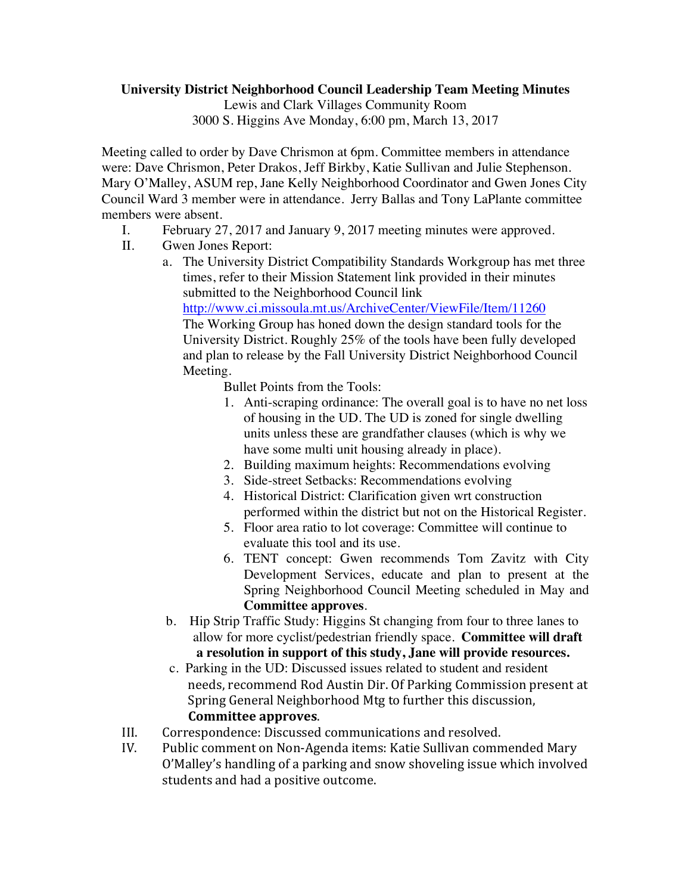## **University District Neighborhood Council Leadership Team Meeting Minutes**

Lewis and Clark Villages Community Room

3000 S. Higgins Ave Monday, 6:00 pm, March 13, 2017

Meeting called to order by Dave Chrismon at 6pm. Committee members in attendance were: Dave Chrismon, Peter Drakos, Jeff Birkby, Katie Sullivan and Julie Stephenson. Mary O'Malley, ASUM rep, Jane Kelly Neighborhood Coordinator and Gwen Jones City Council Ward 3 member were in attendance. Jerry Ballas and Tony LaPlante committee members were absent.

- I. February 27, 2017 and January 9, 2017 meeting minutes were approved.
- II. Gwen Jones Report:
	- a. The University District Compatibility Standards Workgroup has met three times, refer to their Mission Statement link provided in their minutes submitted to the Neighborhood Council link http://www.ci.missoula.mt.us/ArchiveCenter/ViewFile/Item/11260

The Working Group has honed down the design standard tools for the University District. Roughly 25% of the tools have been fully developed and plan to release by the Fall University District Neighborhood Council Meeting.

Bullet Points from the Tools:

- 1. Anti-scraping ordinance: The overall goal is to have no net loss of housing in the UD. The UD is zoned for single dwelling units unless these are grandfather clauses (which is why we have some multi unit housing already in place).
- 2. Building maximum heights: Recommendations evolving
- 3. Side-street Setbacks: Recommendations evolving
- 4. Historical District: Clarification given wrt construction performed within the district but not on the Historical Register.
- 5. Floor area ratio to lot coverage: Committee will continue to evaluate this tool and its use.
- 6. TENT concept: Gwen recommends Tom Zavitz with City Development Services, educate and plan to present at the Spring Neighborhood Council Meeting scheduled in May and **Committee approves**.
- b. Hip Strip Traffic Study: Higgins St changing from four to three lanes to allow for more cyclist/pedestrian friendly space. **Committee will draft a resolution in support of this study, Jane will provide resources.**
- c. Parking in the UD: Discussed issues related to student and resident needs, recommend Rod Austin Dir. Of Parking Commission present at Spring General Neighborhood Mtg to further this discussion, **Committee approves**.
- III. Correspondence: Discussed communications and resolved.
- IV. Public comment on Non-Agenda items: Katie Sullivan commended Mary O'Malley's handling of a parking and snow shoveling issue which involved students and had a positive outcome.